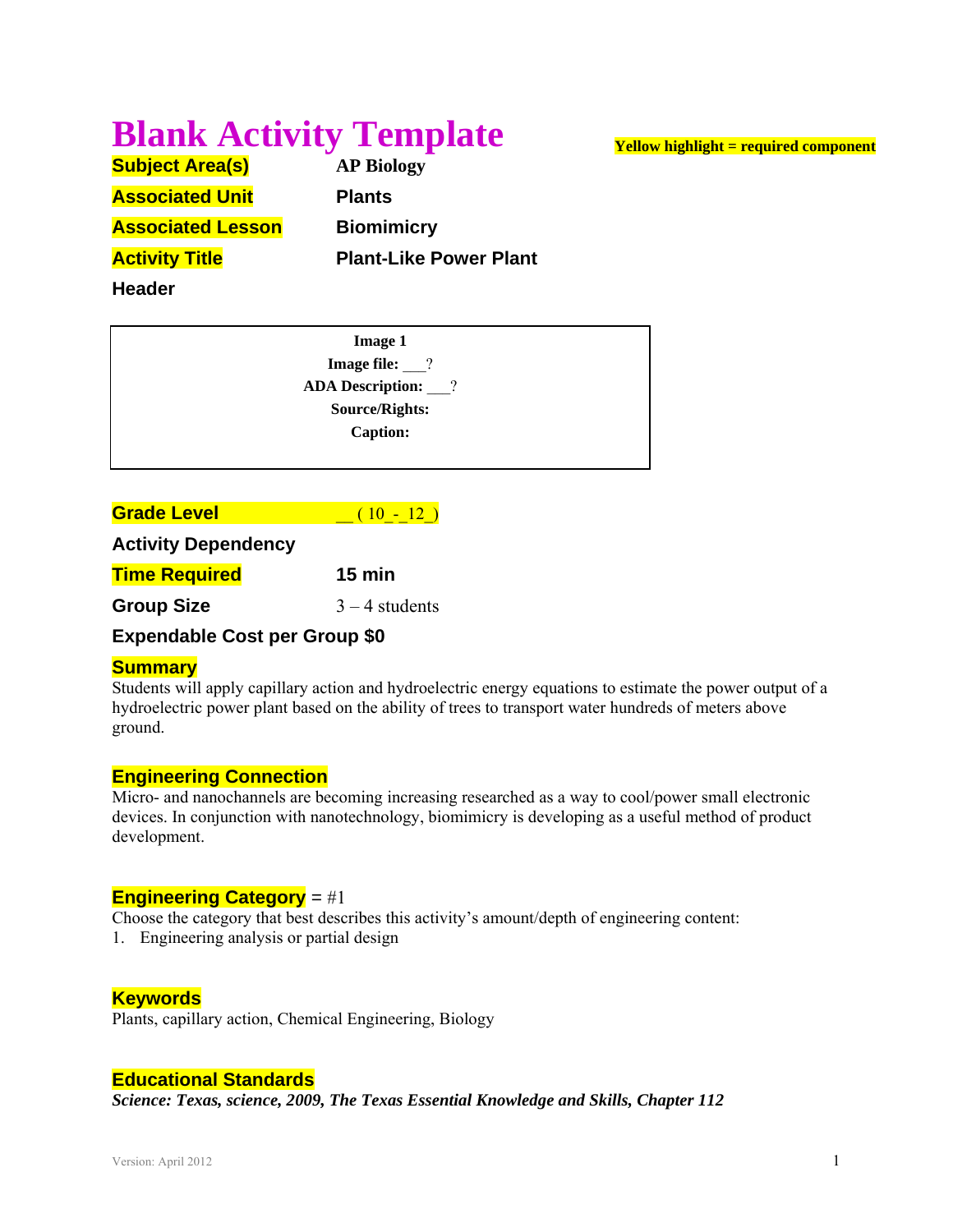# **Blank Activity Template**

**Subject Area(s) AP Biology Associated Unit Plants Associated Lesson Biomimicry Activity Title Communist Plant-Like Power Plant** 

**Header**

**Image 1 Image file:**  $\qquad$ ? **ADA Description:** \_\_\_? **Source/Rights: Caption:**

**Grade Level and (10 - 12)** 

#### **Activity Dependency**

**Time Required 15 min** 

**Group Size**  $3 - 4$  students

## **Expendable Cost per Group \$0**

## **Summary**

Students will apply capillary action and hydroelectric energy equations to estimate the power output of a hydroelectric power plant based on the ability of trees to transport water hundreds of meters above ground.

## **Engineering Connection**

Micro- and nanochannels are becoming increasing researched as a way to cool/power small electronic devices. In conjunction with nanotechnology, biomimicry is developing as a useful method of product development.

## **Engineering Category** = #1

Choose the category that best describes this activity's amount/depth of engineering content:

1. Engineering analysis or partial design

## **Keywords**

Plants, capillary action, Chemical Engineering, Biology

## **Educational Standards**

*Science: Texas, science, 2009, The Texas Essential Knowledge and Skills, Chapter 112* 

**Yellow highlight = required component**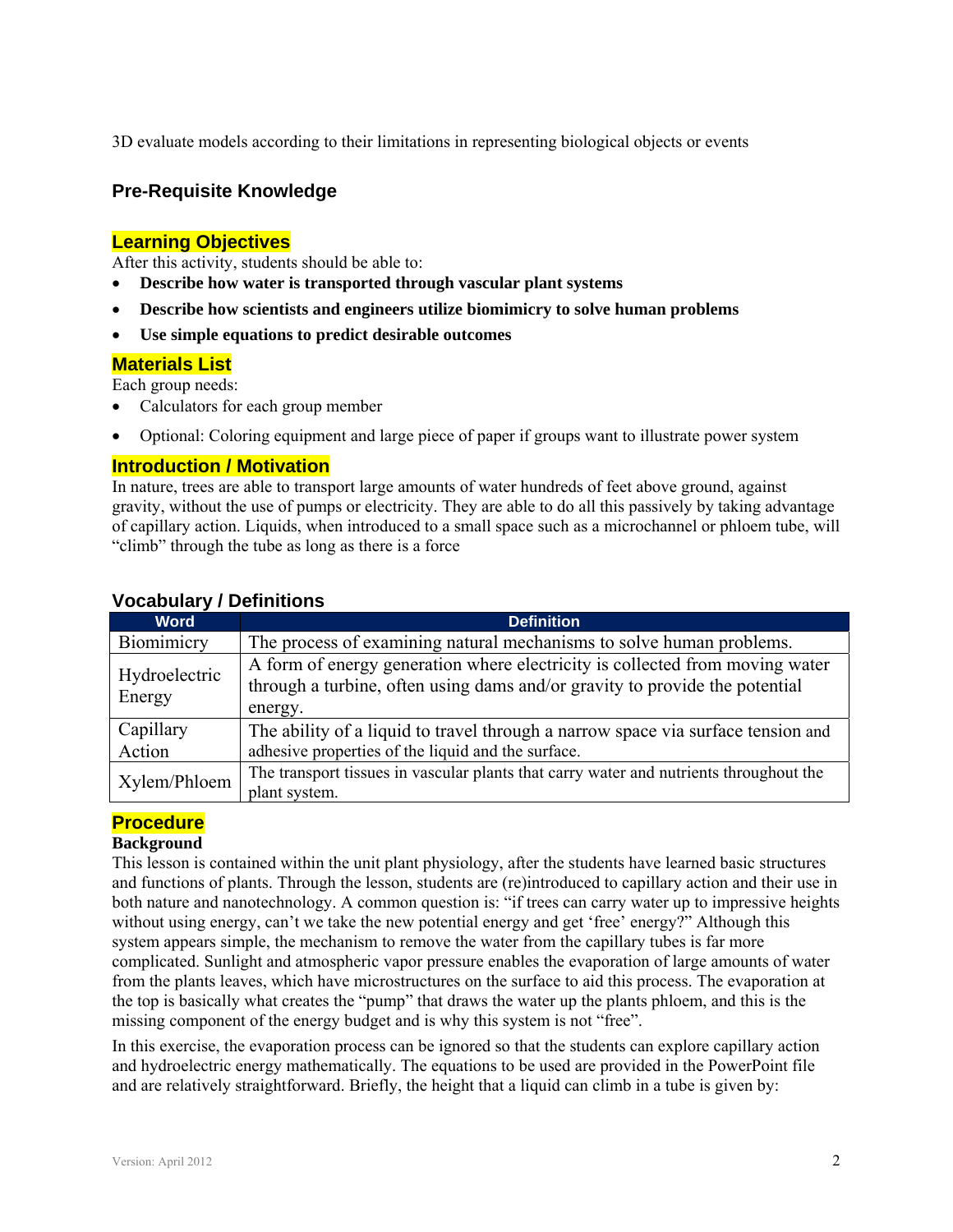3D evaluate models according to their limitations in representing biological objects or events

## **Pre-Requisite Knowledge**

## **Learning Objectives**

After this activity, students should be able to:

- **Describe how water is transported through vascular plant systems**
- **Describe how scientists and engineers utilize biomimicry to solve human problems**
- **Use simple equations to predict desirable outcomes**

## **Materials List**

Each group needs:

- Calculators for each group member
- Optional: Coloring equipment and large piece of paper if groups want to illustrate power system

## **Introduction / Motivation**

In nature, trees are able to transport large amounts of water hundreds of feet above ground, against gravity, without the use of pumps or electricity. They are able to do all this passively by taking advantage of capillary action. Liquids, when introduced to a small space such as a microchannel or phloem tube, will "climb" through the tube as long as there is a force

| <b>Word</b>             | <b>Definition</b>                                                                                                                                                      |
|-------------------------|------------------------------------------------------------------------------------------------------------------------------------------------------------------------|
| Biomimicry              | The process of examining natural mechanisms to solve human problems.                                                                                                   |
| Hydroelectric<br>Energy | A form of energy generation where electricity is collected from moving water<br>through a turbine, often using dams and/or gravity to provide the potential<br>energy. |
| Capillary<br>Action     | The ability of a liquid to travel through a narrow space via surface tension and<br>adhesive properties of the liquid and the surface.                                 |
| Xylem/Phloem            | The transport tissues in vascular plants that carry water and nutrients throughout the<br>plant system.                                                                |

## **Vocabulary / Definitions**

## **Procedure**

#### **Background**

This lesson is contained within the unit plant physiology, after the students have learned basic structures and functions of plants. Through the lesson, students are (re)introduced to capillary action and their use in both nature and nanotechnology. A common question is: "if trees can carry water up to impressive heights without using energy, can't we take the new potential energy and get 'free' energy?" Although this system appears simple, the mechanism to remove the water from the capillary tubes is far more complicated. Sunlight and atmospheric vapor pressure enables the evaporation of large amounts of water from the plants leaves, which have microstructures on the surface to aid this process. The evaporation at the top is basically what creates the "pump" that draws the water up the plants phloem, and this is the missing component of the energy budget and is why this system is not "free".

In this exercise, the evaporation process can be ignored so that the students can explore capillary action and hydroelectric energy mathematically. The equations to be used are provided in the PowerPoint file and are relatively straightforward. Briefly, the height that a liquid can climb in a tube is given by: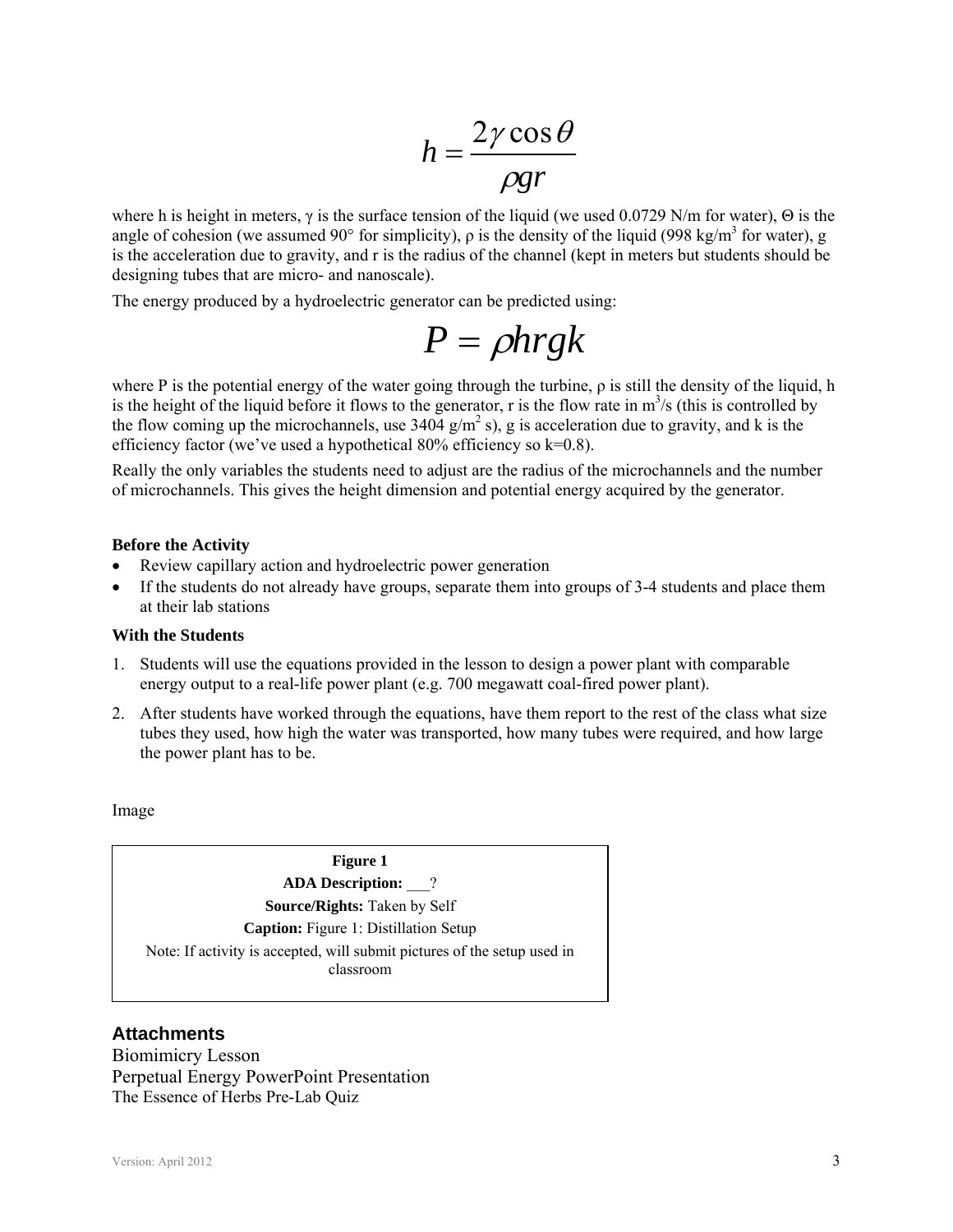$$
h = \frac{2\gamma \cos \theta}{\rho gr}
$$

where h is height in meters,  $\gamma$  is the surface tension of the liquid (we used 0.0729 N/m for water),  $\Theta$  is the angle of cohesion (we assumed 90 $^{\circ}$  for simplicity),  $\rho$  is the density of the liquid (998 kg/m<sup>3</sup> for water), g is the acceleration due to gravity, and r is the radius of the channel (kept in meters but students should be designing tubes that are micro- and nanoscale).

The energy produced by a hydroelectric generator can be predicted using:

$$
P = \rho h r g k
$$

where P is the potential energy of the water going through the turbine,  $\rho$  is still the density of the liquid, h is the height of the liquid before it flows to the generator, r is the flow rate in  $m^3/s$  (this is controlled by the flow coming up the microchannels, use  $3404$  g/m<sup>2</sup> s), g is acceleration due to gravity, and k is the efficiency factor (we've used a hypothetical  $80\%$  efficiency so k=0.8).

Really the only variables the students need to adjust are the radius of the microchannels and the number of microchannels. This gives the height dimension and potential energy acquired by the generator.

#### **Before the Activity**

- Review capillary action and hydroelectric power generation
- If the students do not already have groups, separate them into groups of 3-4 students and place them at their lab stations

#### **With the Students**

- 1. Students will use the equations provided in the lesson to design a power plant with comparable energy output to a real-life power plant (e.g. 700 megawatt coal-fired power plant).
- 2. After students have worked through the equations, have them report to the rest of the class what size tubes they used, how high the water was transported, how many tubes were required, and how large the power plant has to be.

Image

**Figure 1 ADA Description:** \_\_\_? **Source/Rights:** Taken by Self **Caption:** Figure 1: Distillation Setup Note: If activity is accepted, will submit pictures of the setup used in classroom

#### **Attachments**

Biomimicry Lesson Perpetual Energy PowerPoint Presentation The Essence of Herbs Pre-Lab Quiz